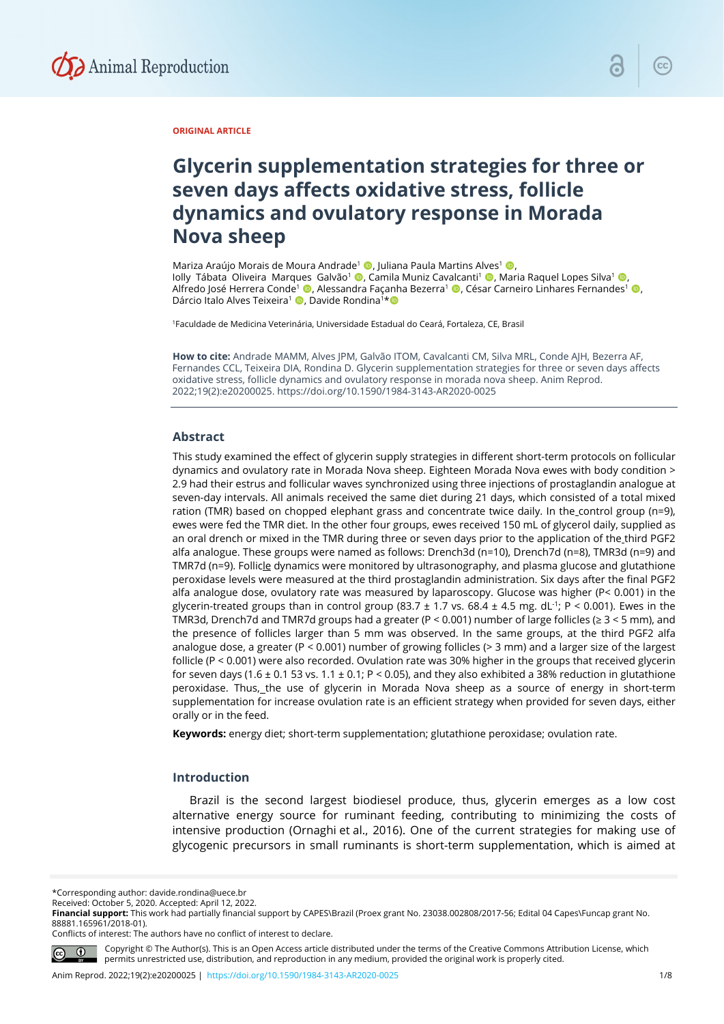

# **ORIGINAL ARTICLE**

# **Glycerin supplementation strategies for three or seven days affects oxidative stress, follicle dynamics and ovulatory response in Morada Nova sheep**

Mariza Araújo Morais de Moura Andrade<sup>1</sup> (, Juliana Paula Martins Alves<sup>1</sup> (, , Iolly Tábata Oliveira Marques Galvão<sup>1</sup> , Camila Muniz Cavalcanti<sup>1</sup> , Maria Raquel Lopes Silva<sup>1</sup> , Alfredo José Herrera Conde<sup>1</sup> (D. Alessandra Façanha Bezerra<sup>1</sup> (D. César Carneiro Linhares Fernandes<sup>1</sup> (D. Dárcio Italo Alves Teixeira<sup>1</sup> (D, Davide Rondina<sup>1\*</sup>

1Faculdade de Medicina Veterinária, Universidade Estadual do Ceará, Fortaleza, CE, Brasil

**How to cite:** Andrade MAMM, Alves JPM, Galvão ITOM, Cavalcanti CM, Silva MRL, Conde AJH, Bezerra AF, Fernandes CCL, Teixeira DIA, Rondina D. Glycerin supplementation strategies for three or seven days affects oxidative stress, follicle dynamics and ovulatory response in morada nova sheep. Anim Reprod. 2022;19(2):e20200025. https://doi.org/10.1590/1984-3143-AR2020-0025

#### **Abstract**

This study examined the effect of glycerin supply strategies in different short-term protocols on follicular dynamics and ovulatory rate in Morada Nova sheep. Eighteen Morada Nova ewes with body condition > 2.9 had their estrus and follicular waves synchronized using three injections of prostaglandin analogue at seven-day intervals. All animals received the same diet during 21 days, which consisted of a total mixed ration (TMR) based on chopped elephant grass and concentrate twice daily. In the control group (n=9), ewes were fed the TMR diet. In the other four groups, ewes received 150 mL of glycerol daily, supplied as an oral drench or mixed in the TMR during three or seven days prior to the application of the third PGF2 alfa analogue. These groups were named as follows: Drench3d (n=10), Drench7d (n=8), TMR3d (n=9) and TMR7d ( $n=9$ ). Follicle dynamics were monitored by ultrasonography, and plasma glucose and glutathione peroxidase levels were measured at the third prostaglandin administration. Six days after the final PGF2 alfa analogue dose, ovulatory rate was measured by laparoscopy. Glucose was higher (P< 0.001) in the glycerin-treated groups than in control group (83.7  $\pm$  1.7 vs. 68.4  $\pm$  4.5 mg. dL<sup>-1</sup>; P < 0.001). Ewes in the TMR3d, Drench7d and TMR7d groups had a greater ( $P < 0.001$ ) number of large follicles ( $\ge 3 < 5$  mm), and the presence of follicles larger than 5 mm was observed. In the same groups, at the third PGF2 alfa analogue dose, a greater (P < 0.001) number of growing follicles (> 3 mm) and a larger size of the largest follicle (P < 0.001) were also recorded. Ovulation rate was 30% higher in the groups that received glycerin for seven days (1.6  $\pm$  0.1 53 vs. 1.1  $\pm$  0.1; P < 0.05), and they also exhibited a 38% reduction in glutathione peroxidase. Thus, the use of glycerin in Morada Nova sheep as a source of energy in short-term supplementation for increase ovulation rate is an efficient strategy when provided for seven days, either orally or in the feed.

**Keywords:** energy diet; short-term supplementation; glutathione peroxidase; ovulation rate.

# **Introduction**

Brazil is the second largest biodiesel produce, thus, glycerin emerges as a low cost alternative energy source for ruminant feeding, contributing to minimizing the costs of intensive production (Ornaghi et al., 2016). One of the current strategies for making use of glycogenic precursors in small ruminants is short-term supplementation, which is aimed at

\*Corresponding author: davide.rondina@uece.br

Conflicts of interest: The authors have no conflict of interest to declare.



Copyright © The Author(s). This is an Open Access article distributed under the terms of the Creative Commons Attribution License, which permits unrestricted use, distribution, and reproduction in any medium, provided the original work is properly cited.

Received: October 5, 2020. Accepted: April 12, 2022.

**Financial support:** This work had partially financial support by CAPES\Brazil (Proex grant No. 23038.002808/2017-56; Edital 04 Capes\Funcap grant No. 88881.165961/2018-01).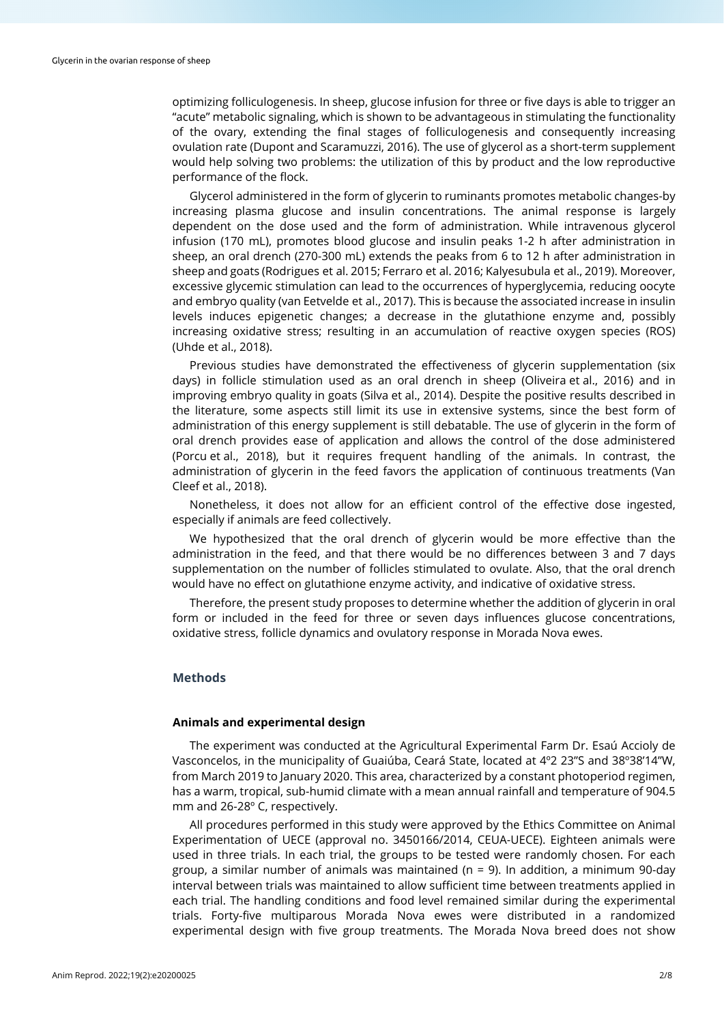optimizing folliculogenesis. In sheep, glucose infusion for three or five days is able to trigger an "acute" metabolic signaling, which is shown to be advantageous in stimulating the functionality of the ovary, extending the final stages of folliculogenesis and consequently increasing ovulation rate (Dupont and Scaramuzzi, 2016). The use of glycerol as a short-term supplement would help solving two problems: the utilization of this by product and the low reproductive performance of the flock.

Glycerol administered in the form of glycerin to ruminants promotes metabolic changes-by increasing plasma glucose and insulin concentrations. The animal response is largely dependent on the dose used and the form of administration. While intravenous glycerol infusion (170 mL), promotes blood glucose and insulin peaks 1-2 h after administration in sheep, an oral drench (270-300 mL) extends the peaks from 6 to 12 h after administration in sheep and goats (Rodrigues et al. 2015; Ferraro et al. 2016; Kalyesubula et al., 2019). Moreover, excessive glycemic stimulation can lead to the occurrences of hyperglycemia, reducing oocyte and embryo quality (van Eetvelde et al., 2017). This is because the associated increase in insulin levels induces epigenetic changes; a decrease in the glutathione enzyme and, possibly increasing oxidative stress; resulting in an accumulation of reactive oxygen species (ROS) (Uhde et al., 2018).

Previous studies have demonstrated the effectiveness of glycerin supplementation (six days) in follicle stimulation used as an oral drench in sheep (Oliveira et al., 2016) and in improving embryo quality in goats (Silva et al., 2014). Despite the positive results described in the literature, some aspects still limit its use in extensive systems, since the best form of administration of this energy supplement is still debatable. The use of glycerin in the form of oral drench provides ease of application and allows the control of the dose administered (Porcu et al., 2018), but it requires frequent handling of the animals. In contrast, the administration of glycerin in the feed favors the application of continuous treatments (Van Cleef et al., 2018).

Nonetheless, it does not allow for an efficient control of the effective dose ingested, especially if animals are feed collectively.

We hypothesized that the oral drench of glycerin would be more effective than the administration in the feed, and that there would be no differences between 3 and 7 days supplementation on the number of follicles stimulated to ovulate. Also, that the oral drench would have no effect on glutathione enzyme activity, and indicative of oxidative stress.

Therefore, the present study proposes to determine whether the addition of glycerin in oral form or included in the feed for three or seven days influences glucose concentrations, oxidative stress, follicle dynamics and ovulatory response in Morada Nova ewes.

# **Methods**

# **Animals and experimental design**

The experiment was conducted at the Agricultural Experimental Farm Dr. Esaú Accioly de Vasconcelos, in the municipality of Guaiúba, Ceará State, located at 4º2 23"S and 38º38'14"W, from March 2019 to January 2020. This area, characterized by a constant photoperiod regimen, has a warm, tropical, sub-humid climate with a mean annual rainfall and temperature of 904.5 mm and 26-28º C, respectively.

All procedures performed in this study were approved by the Ethics Committee on Animal Experimentation of UECE (approval no. 3450166/2014, CEUA-UECE). Eighteen animals were used in three trials. In each trial, the groups to be tested were randomly chosen. For each group, a similar number of animals was maintained ( $n = 9$ ). In addition, a minimum 90-day interval between trials was maintained to allow sufficient time between treatments applied in each trial. The handling conditions and food level remained similar during the experimental trials. Forty-five multiparous Morada Nova ewes were distributed in a randomized experimental design with five group treatments. The Morada Nova breed does not show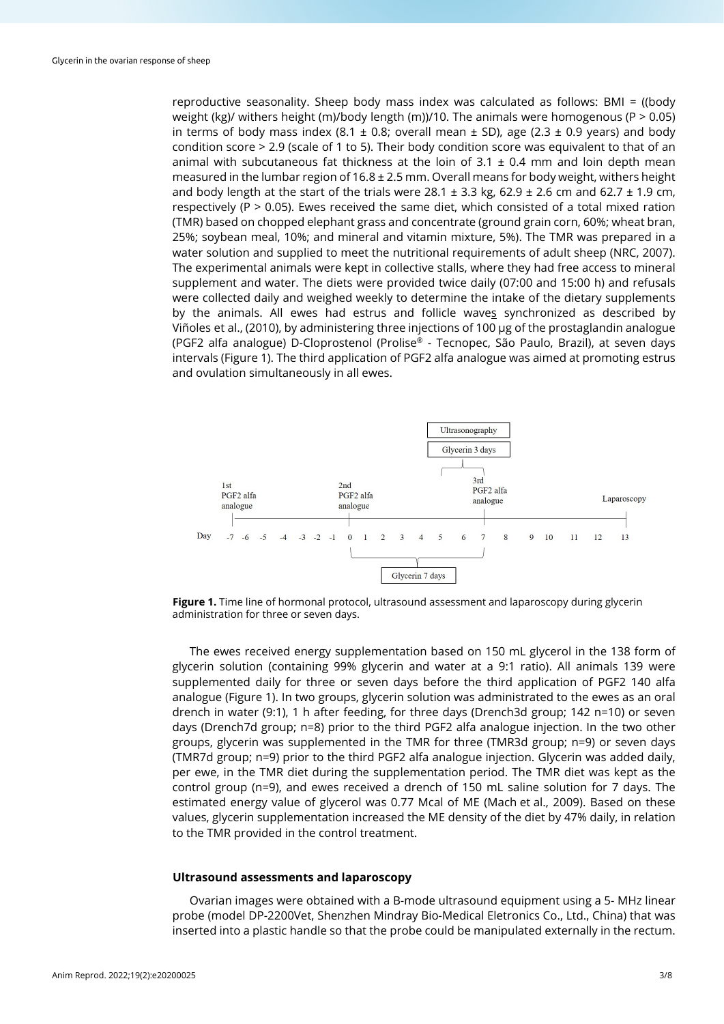reproductive seasonality. Sheep body mass index was calculated as follows: BMI = ((body weight (kg)/ withers height (m)/body length (m))/10. The animals were homogenous (P  $> 0.05$ ) in terms of body mass index (8.1  $\pm$  0.8; overall mean  $\pm$  SD), age (2.3  $\pm$  0.9 years) and body condition score > 2.9 (scale of 1 to 5). Their body condition score was equivalent to that of an animal with subcutaneous fat thickness at the loin of  $3.1 \pm 0.4$  mm and loin depth mean measured in the lumbar region of  $16.8 \pm 2.5$  mm. Overall means for body weight, withers height and body length at the start of the trials were 28.1  $\pm$  3.3 kg, 62.9  $\pm$  2.6 cm and 62.7  $\pm$  1.9 cm, respectively (P > 0.05). Ewes received the same diet, which consisted of a total mixed ration (TMR) based on chopped elephant grass and concentrate (ground grain corn, 60%; wheat bran, 25%; soybean meal, 10%; and mineral and vitamin mixture, 5%). The TMR was prepared in a water solution and supplied to meet the nutritional requirements of adult sheep (NRC, 2007). The experimental animals were kept in collective stalls, where they had free access to mineral supplement and water. The diets were provided twice daily (07:00 and 15:00 h) and refusals were collected daily and weighed weekly to determine the intake of the dietary supplements by the animals. All ewes had estrus and follicle waves synchronized as described by Viñoles et al., (2010), by administering three injections of 100 μg of the prostaglandin analogue (PGF2 alfa analogue) D-Cloprostenol (Prolise® - Tecnopec, São Paulo, Brazil), at seven days intervals (Figure 1). The third application of PGF2 alfa analogue was aimed at promoting estrus and ovulation simultaneously in all ewes.



**Figure 1.** Time line of hormonal protocol, ultrasound assessment and laparoscopy during glycerin administration for three or seven days.

The ewes received energy supplementation based on 150 mL glycerol in the 138 form of glycerin solution (containing 99% glycerin and water at a 9:1 ratio). All animals 139 were supplemented daily for three or seven days before the third application of PGF2 140 alfa analogue (Figure 1). In two groups, glycerin solution was administrated to the ewes as an oral drench in water (9:1), 1 h after feeding, for three days (Drench3d group; 142 n=10) or seven days (Drench7d group; n=8) prior to the third PGF2 alfa analogue injection. In the two other groups, glycerin was supplemented in the TMR for three (TMR3d group; n=9) or seven days (TMR7d group; n=9) prior to the third PGF2 alfa analogue injection. Glycerin was added daily, per ewe, in the TMR diet during the supplementation period. The TMR diet was kept as the control group (n=9), and ewes received a drench of 150 mL saline solution for 7 days. The estimated energy value of glycerol was 0.77 Mcal of ME (Mach et al., 2009). Based on these values, glycerin supplementation increased the ME density of the diet by 47% daily, in relation to the TMR provided in the control treatment.

#### **Ultrasound assessments and laparoscopy**

Ovarian images were obtained with a B-mode ultrasound equipment using a 5- MHz linear probe (model DP-2200Vet, Shenzhen Mindray Bio-Medical Eletronics Co., Ltd., China) that was inserted into a plastic handle so that the probe could be manipulated externally in the rectum.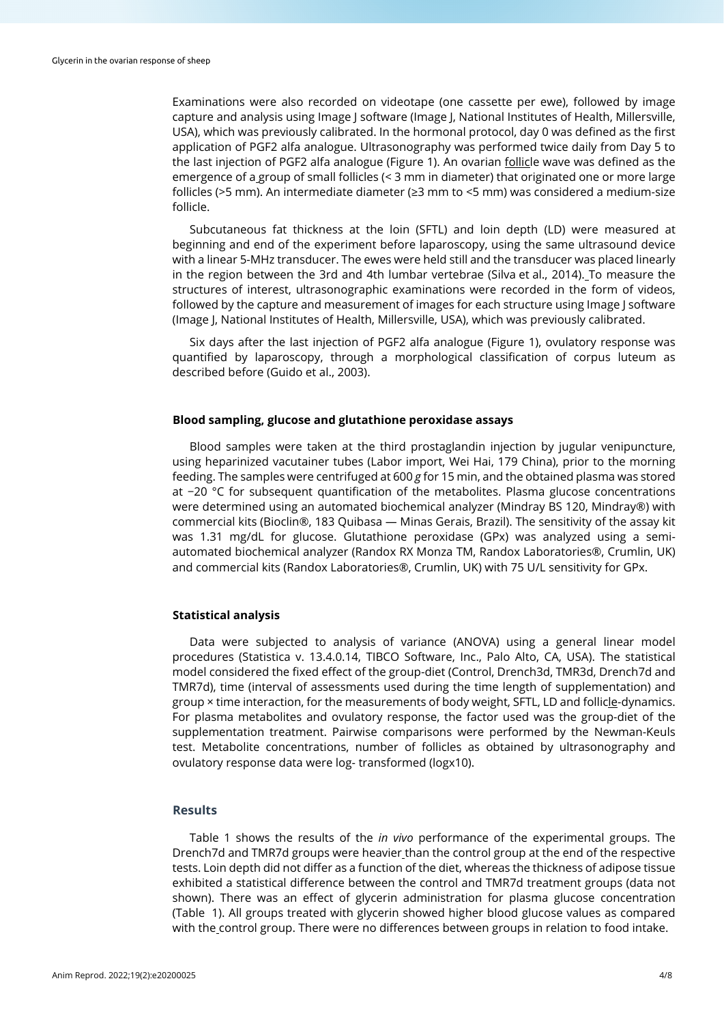Examinations were also recorded on videotape (one cassette per ewe), followed by image capture and analysis using Image J software (Image J, National Institutes of Health, Millersville, USA), which was previously calibrated. In the hormonal protocol, day 0 was defined as the first application of PGF2 alfa analogue. Ultrasonography was performed twice daily from Day 5 to the last injection of PGF2 alfa analogue (Figure 1). An ovarian follicle wave was defined as the emergence of a group of small follicles (< 3 mm in diameter) that originated one or more large follicles (>5 mm). An intermediate diameter (≥3 mm to <5 mm) was considered a medium-size follicle.

Subcutaneous fat thickness at the loin (SFTL) and loin depth (LD) were measured at beginning and end of the experiment before laparoscopy, using the same ultrasound device with a linear 5-MHz transducer. The ewes were held still and the transducer was placed linearly in the region between the 3rd and 4th lumbar vertebrae (Silva et al., 2014). To measure the structures of interest, ultrasonographic examinations were recorded in the form of videos, followed by the capture and measurement of images for each structure using Image J software (Image J, National Institutes of Health, Millersville, USA), which was previously calibrated.

Six days after the last injection of PGF2 alfa analogue (Figure 1), ovulatory response was quantified by laparoscopy, through a morphological classification of corpus luteum as described before (Guido et al., 2003).

# **Blood sampling, glucose and glutathione peroxidase assays**

Blood samples were taken at the third prostaglandin injection by jugular venipuncture, using heparinized vacutainer tubes (Labor import, Wei Hai, 179 China), prior to the morning feeding. The samples were centrifuged at 600 *g* for 15 min, and the obtained plasma was stored at −20 °C for subsequent quantification of the metabolites. Plasma glucose concentrations were determined using an automated biochemical analyzer (Mindray BS 120, Mindray®) with commercial kits (Bioclin®, 183 Quibasa — Minas Gerais, Brazil). The sensitivity of the assay kit was 1.31 mg/dL for glucose. Glutathione peroxidase (GPx) was analyzed using a semiautomated biochemical analyzer (Randox RX Monza TM, Randox Laboratories®, Crumlin, UK) and commercial kits (Randox Laboratories®, Crumlin, UK) with 75 U/L sensitivity for GPx.

### **Statistical analysis**

Data were subjected to analysis of variance (ANOVA) using a general linear model procedures (Statistica v. 13.4.0.14, TIBCO Software, Inc., Palo Alto, CA, USA). The statistical model considered the fixed effect of the group-diet (Control, Drench3d, TMR3d, Drench7d and TMR7d), time (interval of assessments used during the time length of supplementation) and group × time interaction, for the measurements of body weight, SFTL, LD and follicle-dynamics. For plasma metabolites and ovulatory response, the factor used was the group-diet of the supplementation treatment. Pairwise comparisons were performed by the Newman-Keuls test. Metabolite concentrations, number of follicles as obtained by ultrasonography and ovulatory response data were log- transformed (logx10).

# **Results**

Table 1 shows the results of the *in vivo* performance of the experimental groups. The Drench7d and TMR7d groups were heavier than the control group at the end of the respective tests. Loin depth did not differ as a function of the diet, whereas the thickness of adipose tissue exhibited a statistical difference between the control and TMR7d treatment groups (data not shown). There was an effect of glycerin administration for plasma glucose concentration (Table 1). All groups treated with glycerin showed higher blood glucose values as compared with the control group. There were no differences between groups in relation to food intake.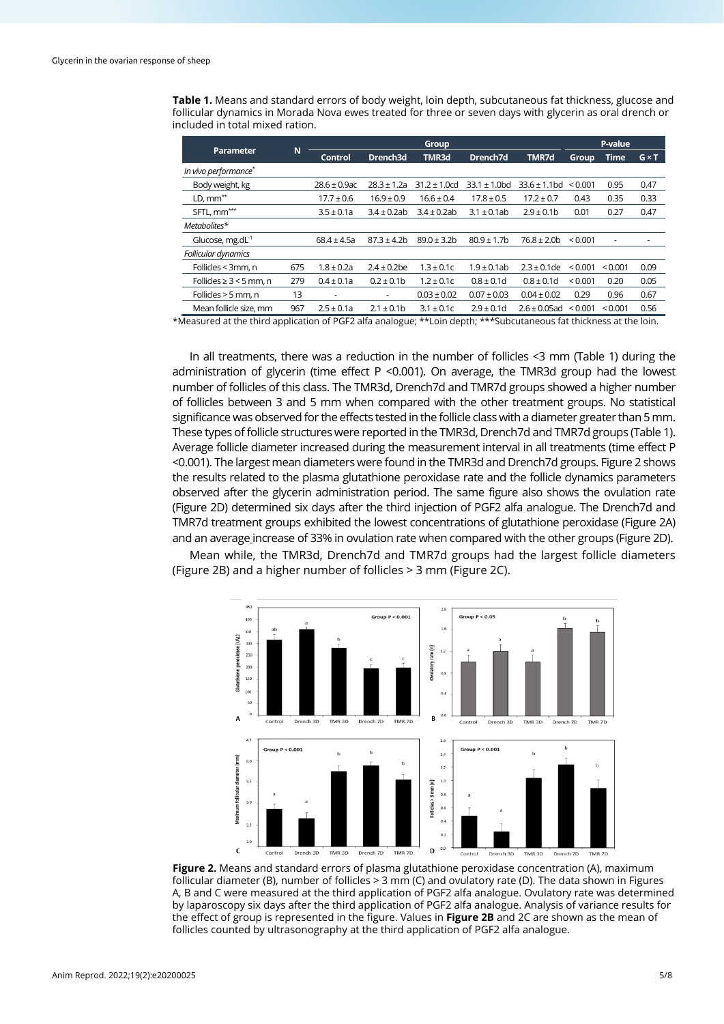**Table 1.** Means and standard errors of body weight, loin depth, subcutaneous fat thickness, glucose and follicular dynamics in Morada Nova ewes treated for three or seven days with glycerin as oral drench or included in total mixed ration.

| Parameter                    | N   | <b>Group</b>      |                  |                   |                   |                   | P-value      |              |              |
|------------------------------|-----|-------------------|------------------|-------------------|-------------------|-------------------|--------------|--------------|--------------|
|                              |     | <b>Control</b>    | Drench3d         | TMR3d             | Drench7d          | <b>TMR7d</b>      | <b>Group</b> | <b>Time</b>  | $G \times T$ |
| In vivo performance*         |     |                   |                  |                   |                   |                   |              |              |              |
| Body weight, kg              |     | $28.6 \pm 0.9$ ac | $28.3 \pm 1.2a$  | $31.2 \pm 1.0$ cd | $33.1 \pm 1.0$ bd | $33.6 \pm 1.1$ bd | < 0.001      | 0.95         | 0.47         |
| $LD, \text{mm}^{**}$         |     | $17.7 \pm 0.6$    | $16.9 \pm 0.9$   | $16.6 \pm 0.4$    | $17.8 \pm 0.5$    | $17.2 \pm 0.7$    | 0.43         | 0.35         | 0.33         |
| SFTL, mm <sup>***</sup>      |     | $3.5 \pm 0.1a$    | $3.4 \pm 0.2$ ab | $3.4 \pm 0.2$ ab  | $3.1 \pm 0.1$ ab  | $2.9 \pm 0.1$ b   | 0.01         | 0.27         | 0.47         |
| Metabolites*                 |     |                   |                  |                   |                   |                   |              |              |              |
| Glucose, $mg.dL^{-1}$        |     | $68.4 \pm 4.5a$   | $87.3 \pm 4.2$ b | $89.0 \pm 3.2$ b  | $80.9 \pm 1.7$ b  | $76.8 \pm 2.0$ b  | ${}_{0.001}$ | ٠            |              |
| Follicular dynamics          |     |                   |                  |                   |                   |                   |              |              |              |
| Follicles < 3mm, n           | 675 | $1.8 \pm 0.2a$    | $2.4 \pm 0.2$ be | $1.3 \pm 0.1c$    | $1.9 \pm 0.1$ ab  | $2.3 \pm 0.1$ de  | ${}_{0.001}$ | < 0.001      | 0.09         |
| Follicles $\geq 3$ < 5 mm, n | 279 | $0.4 \pm 0.1a$    | $0.2 \pm 0.1$ b  | $1.2 \pm 0.1c$    | $0.8 \pm 0.1$ d   | $0.8 \pm 0.1$ d   | < 0.001      | 0.20         | 0.05         |
| Follicles $>$ 5 mm, n        | 13  | ٠                 | ٠                | $0.03 \pm 0.02$   | $0.07 \pm 0.03$   | $0.04 \pm 0.02$   | 0.29         | 0.96         | 0.67         |
| Mean follicle size, mm       | 967 | $2.5 \pm 0.1a$    | $2.1 \pm 0.1$ b  | $3.1 \pm 0.1c$    | $2.9 \pm 0.1d$    | $2.6 \pm 0.05$ ad | < 0.001      | ${}_{0.001}$ | 0.56         |

\*Measured at the third application of PGF2 alfa analogue; \*\*Loin depth; \*\*\*Subcutaneous fat thickness at the loin.

In all treatments, there was a reduction in the number of follicles <3 mm (Table 1) during the administration of glycerin (time effect  $P \le 0.001$ ). On average, the TMR3d group had the lowest number of follicles of this class. The TMR3d, Drench7d and TMR7d groups showed a higher number of follicles between 3 and 5 mm when compared with the other treatment groups. No statistical significance was observed for the effects tested in the follicle class with a diameter greater than 5 mm. These types of follicle structures were reported in the TMR3d, Drench7d and TMR7d groups (Table 1). Average follicle diameter increased during the measurement interval in all treatments (time effect P <0.001). The largest mean diameters were found in the TMR3d and Drench7d groups. Figure 2 shows the results related to the plasma glutathione peroxidase rate and the follicle dynamics parameters observed after the glycerin administration period. The same figure also shows the ovulation rate (Figure 2D) determined six days after the third injection of PGF2 alfa analogue. The Drench7d and TMR7d treatment groups exhibited the lowest concentrations of glutathione peroxidase (Figure 2A) and an average increase of 33% in ovulation rate when compared with the other groups (Figure 2D).

Mean while, the TMR3d, Drench7d and TMR7d groups had the largest follicle diameters (Figure 2B) and a higher number of follicles > 3 mm (Figure 2C).



**Figure 2.** Means and standard errors of plasma glutathione peroxidase concentration (A), maximum follicular diameter (B), number of follicles > 3 mm (C) and ovulatory rate (D). The data shown in Figures A, B and C were measured at the third application of PGF2 alfa analogue. Ovulatory rate was determined by laparoscopy six days after the third application of PGF2 alfa analogue. Analysis of variance results for the effect of group is represented in the figure. Values in **Figure 2B** and 2C are shown as the mean of follicles counted by ultrasonography at the third application of PGF2 alfa analogue.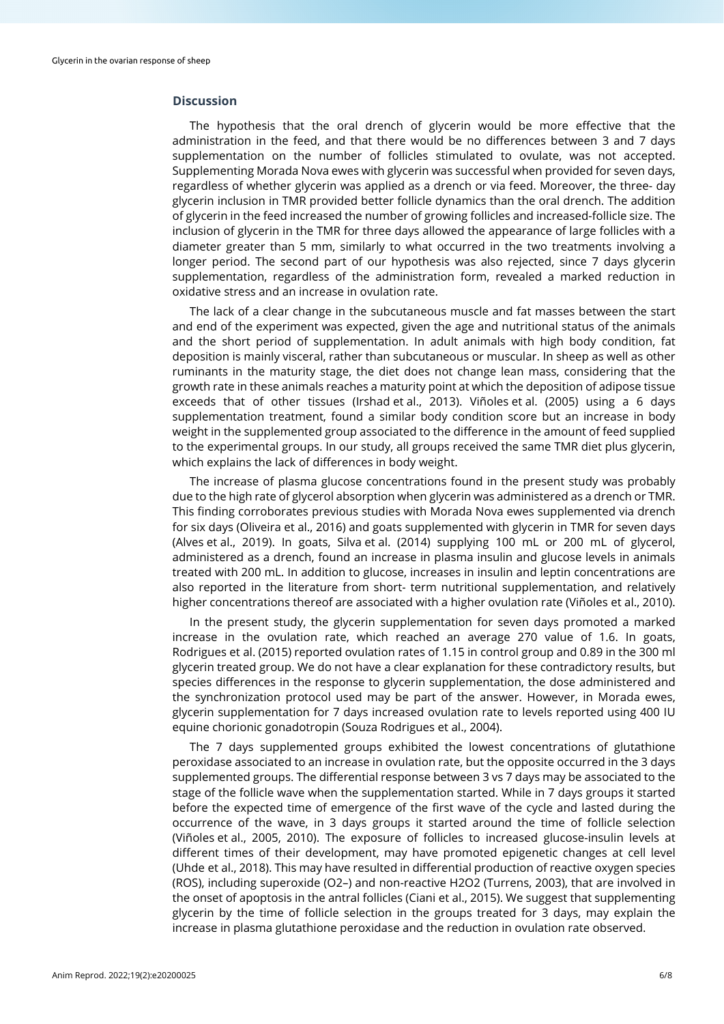# **Discussion**

The hypothesis that the oral drench of glycerin would be more effective that the administration in the feed, and that there would be no differences between 3 and 7 days supplementation on the number of follicles stimulated to ovulate, was not accepted. Supplementing Morada Nova ewes with glycerin was successful when provided for seven days, regardless of whether glycerin was applied as a drench or via feed. Moreover, the three- day glycerin inclusion in TMR provided better follicle dynamics than the oral drench. The addition of glycerin in the feed increased the number of growing follicles and increased-follicle size. The inclusion of glycerin in the TMR for three days allowed the appearance of large follicles with a diameter greater than 5 mm, similarly to what occurred in the two treatments involving a longer period. The second part of our hypothesis was also rejected, since 7 days glycerin supplementation, regardless of the administration form, revealed a marked reduction in oxidative stress and an increase in ovulation rate.

The lack of a clear change in the subcutaneous muscle and fat masses between the start and end of the experiment was expected, given the age and nutritional status of the animals and the short period of supplementation. In adult animals with high body condition, fat deposition is mainly visceral, rather than subcutaneous or muscular. In sheep as well as other ruminants in the maturity stage, the diet does not change lean mass, considering that the growth rate in these animals reaches a maturity point at which the deposition of adipose tissue exceeds that of other tissues (Irshad et al., 2013). Viñoles et al. (2005) using a 6 days supplementation treatment, found a similar body condition score but an increase in body weight in the supplemented group associated to the difference in the amount of feed supplied to the experimental groups. In our study, all groups received the same TMR diet plus glycerin, which explains the lack of differences in body weight.

The increase of plasma glucose concentrations found in the present study was probably due to the high rate of glycerol absorption when glycerin was administered as a drench or TMR. This finding corroborates previous studies with Morada Nova ewes supplemented via drench for six days (Oliveira et al., 2016) and goats supplemented with glycerin in TMR for seven days (Alves et al., 2019). In goats, Silva et al. (2014) supplying 100 mL or 200 mL of glycerol, administered as a drench, found an increase in plasma insulin and glucose levels in animals treated with 200 mL. In addition to glucose, increases in insulin and leptin concentrations are also reported in the literature from short- term nutritional supplementation, and relatively higher concentrations thereof are associated with a higher ovulation rate (Viñoles et al., 2010).

In the present study, the glycerin supplementation for seven days promoted a marked increase in the ovulation rate, which reached an average 270 value of 1.6. In goats, Rodrigues et al. (2015) reported ovulation rates of 1.15 in control group and 0.89 in the 300 ml glycerin treated group. We do not have a clear explanation for these contradictory results, but species differences in the response to glycerin supplementation, the dose administered and the synchronization protocol used may be part of the answer. However, in Morada ewes, glycerin supplementation for 7 days increased ovulation rate to levels reported using 400 IU equine chorionic gonadotropin (Souza Rodrigues et al., 2004).

The 7 days supplemented groups exhibited the lowest concentrations of glutathione peroxidase associated to an increase in ovulation rate, but the opposite occurred in the 3 days supplemented groups. The differential response between 3 vs 7 days may be associated to the stage of the follicle wave when the supplementation started. While in 7 days groups it started before the expected time of emergence of the first wave of the cycle and lasted during the occurrence of the wave, in 3 days groups it started around the time of follicle selection (Viñoles et al., 2005, 2010). The exposure of follicles to increased glucose-insulin levels at different times of their development, may have promoted epigenetic changes at cell level (Uhde et al., 2018). This may have resulted in differential production of reactive oxygen species (ROS), including superoxide (O2–) and non-reactive H2O2 (Turrens, 2003), that are involved in the onset of apoptosis in the antral follicles (Ciani et al., 2015). We suggest that supplementing glycerin by the time of follicle selection in the groups treated for 3 days, may explain the increase in plasma glutathione peroxidase and the reduction in ovulation rate observed.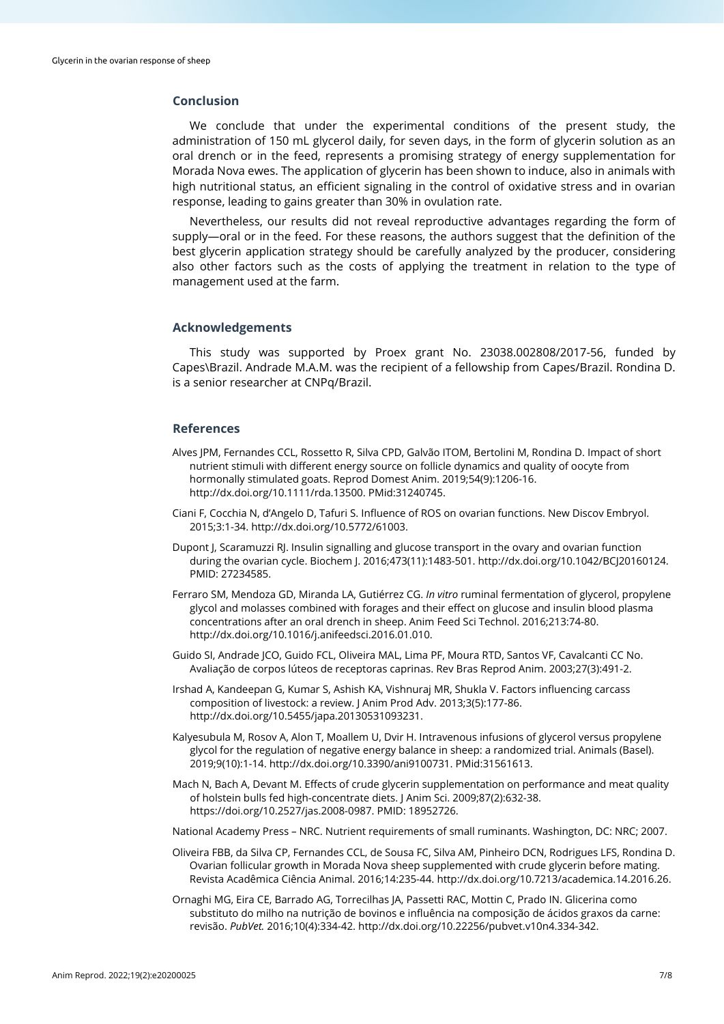# **Conclusion**

We conclude that under the experimental conditions of the present study, the administration of 150 mL glycerol daily, for seven days, in the form of glycerin solution as an oral drench or in the feed, represents a promising strategy of energy supplementation for Morada Nova ewes. The application of glycerin has been shown to induce, also in animals with high nutritional status, an efficient signaling in the control of oxidative stress and in ovarian response, leading to gains greater than 30% in ovulation rate.

Nevertheless, our results did not reveal reproductive advantages regarding the form of supply—oral or in the feed. For these reasons, the authors suggest that the definition of the best glycerin application strategy should be carefully analyzed by the producer, considering also other factors such as the costs of applying the treatment in relation to the type of management used at the farm.

# **Acknowledgements**

This study was supported by Proex grant No. 23038.002808/2017-56, funded by Capes\Brazil. Andrade M.A.M. was the recipient of a fellowship from Capes/Brazil. Rondina D. is a senior researcher at CNPq/Brazil.

### **References**

- Alves JPM, Fernandes CCL, Rossetto R, Silva CPD, Galvão ITOM, Bertolini M, Rondina D. Impact of short nutrient stimuli with different energy source on follicle dynamics and quality of oocyte from hormonally stimulated goats. Reprod Domest Anim. 2019;54(9):1206-16. [http://dx.doi.org/10.1111/rda.13500.](https://doi.org/10.1111/rda.13500) [PMid:31240745.](https://www.ncbi.nlm.nih.gov/entrez/query.fcgi?cmd=Retrieve&db=PubMed&list_uids=31240745&dopt=Abstract)
- Ciani F, Cocchia N, d'Angelo D, Tafuri S. Influence of ROS on ovarian functions. New Discov Embryol. 2015;3:1-34. http://dx.doi.org/10.5772/61003.
- Dupont J, Scaramuzzi RJ. Insulin signalling and glucose transport in the ovary and ovarian function during the ovarian cycle. Biochem J. 2016;473(11):1483-501[. http://dx.doi.org/10.1042/BCJ20160124.](https://doi.org/10.1042/BCJ20160124) PMID: 27234585.
- Ferraro SM, Mendoza GD, Miranda LA, Gutiérrez CG. *In vitro* ruminal fermentation of glycerol, propylene glycol and molasses combined with forages and their effect on glucose and insulin blood plasma concentrations after an oral drench in sheep. Anim Feed Sci Technol. 2016;213:74-80. [http://dx.doi.org/10.1016/j.anifeedsci.2016.01.010.](https://doi.org/10.1016/j.anifeedsci.2016.01.010)
- Guido SI, Andrade JCO, Guido FCL, Oliveira MAL, Lima PF, Moura RTD, Santos VF, Cavalcanti CC No. Avaliação de corpos lúteos de receptoras caprinas. Rev Bras Reprod Anim. 2003;27(3):491-2.
- Irshad A, Kandeepan G, Kumar S, Ashish KA, Vishnuraj MR, Shukla V. Factors influencing carcass composition of livestock: a review. J Anim Prod Adv. 2013;3(5):177-86. [http://dx.doi.org/10.5455/japa.20130531093231.](https://doi.org/10.5455/japa.20130531093231)
- Kalyesubula M, Rosov A, Alon T, Moallem U, Dvir H. Intravenous infusions of glycerol versus propylene glycol for the regulation of negative energy balance in sheep: a randomized trial. Animals (Basel). 2019;9(10):1-14[. http://dx.doi.org/10.3390/ani9100731.](https://doi.org/10.3390/ani9100731) [PMid:31561613.](https://www.ncbi.nlm.nih.gov/entrez/query.fcgi?cmd=Retrieve&db=PubMed&list_uids=31561613&dopt=Abstract)
- Mach N, Bach A, Devant M. Effects of crude glycerin supplementation on performance and meat quality of holstein bulls fed high-concentrate diets. J Anim Sci. 2009;87(2):632-38. https://doi.org/10.2527/jas.2008-0987. PMID: 18952726.
- National Academy Press NRC. Nutrient requirements of small ruminants. Washington, DC: NRC; 2007.
- Oliveira FBB, da Silva CP, Fernandes CCL, de Sousa FC, Silva AM, Pinheiro DCN, Rodrigues LFS, Rondina D. Ovarian follicular growth in Morada Nova sheep supplemented with crude glycerin before mating. Revista Acadêmica Ciência Animal. 2016;14:235-44[. http://dx.doi.org/10.7213/academica.14.2016.26.](https://doi.org/10.7213/academica.14.2016.26)
- Ornaghi MG, Eira CE, Barrado AG, Torrecilhas JA, Passetti RAC, Mottin C, Prado IN. Glicerina como substituto do milho na nutrição de bovinos e influência na composição de ácidos graxos da carne: revisão. *PubVet.* 2016;10(4):334-42[. http://dx.doi.org/10.22256/pubvet.v10n4.334-342.](https://doi.org/10.22256/pubvet.v10n4.334-342)